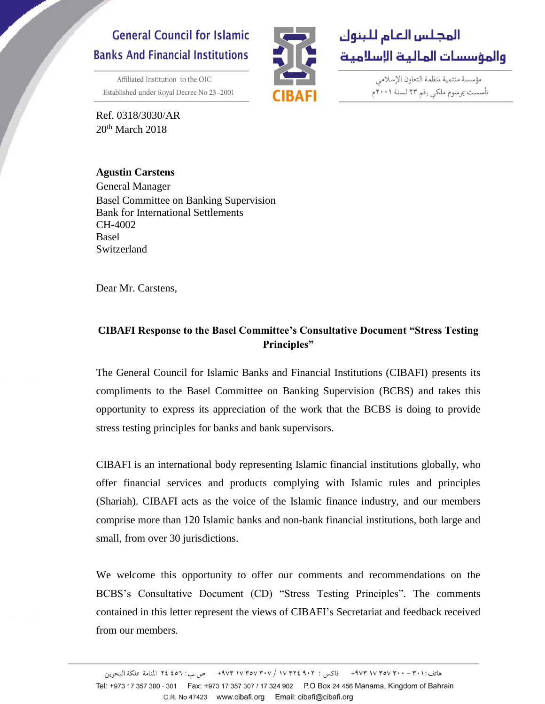## **General Council for Islamic Banks And Financial Institutions**





مؤسسة منتمية لمنظمة التعاون الإسلامي تأسست بمرسوم ملكى رقم ٢٣ لسنة ٢٠٠١م

Affiliated Institution to the OIC Established under Royal Decree No 23-2001

Ref. 0318/3030/AR  $20<sup>th</sup>$  March  $2018$ 

## **Agustin Carstens**

General Manager Basel Committee on Banking Supervision Bank for International Settlements CH-4002 **Basel** Switzerland

Dear Mr. Carstens,

## **CIBAFI Response to the Basel Committee's Consultative Document "Stress Testing Principles"**

The General Council for Islamic Banks and Financial Institutions (CIBAFI) presents its compliments to the Basel Committee on Banking Supervision (BCBS) and takes this opportunity to express its appreciation of the work that the BCBS is doing to provide stress testing principles for banks and bank supervisors.

CIBAFI is an international body representing Islamic financial institutions globally, who offer financial services and products complying with Islamic rules and principles (Shariah). CIBAFI acts as the voice of the Islamic finance industry, and our members comprise more than 120 Islamic banks and non-bank financial institutions, both large and small, from over 30 jurisdictions.

We welcome this opportunity to offer our comments and recommendations on the BCBS's Consultative Document (CD) "Stress Testing Principles". The comments contained in this letter represent the views of CIBAFI's Secretariat and feedback received from our members.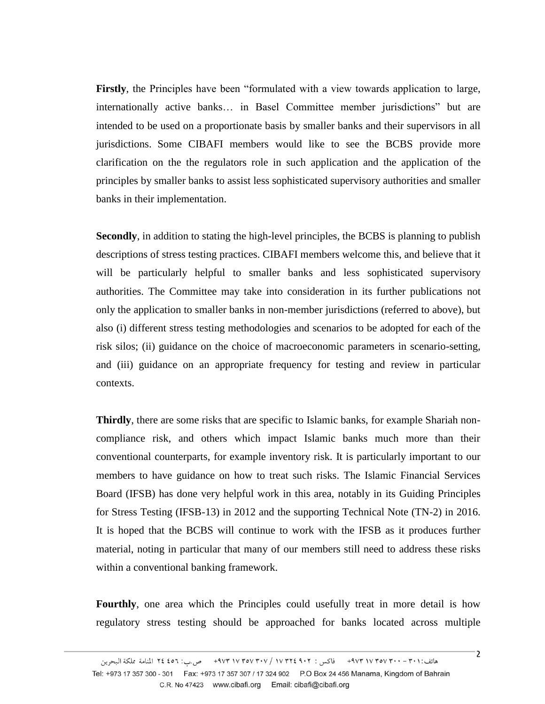**Firstly**, the Principles have been "formulated with a view towards application to large, internationally active banks… in Basel Committee member jurisdictions" but are intended to be used on a proportionate basis by smaller banks and their supervisors in all jurisdictions. Some CIBAFI members would like to see the BCBS provide more clarification on the the regulators role in such application and the application of the principles by smaller banks to assist less sophisticated supervisory authorities and smaller banks in their implementation.

**Secondly**, in addition to stating the high-level principles, the BCBS is planning to publish descriptions of stress testing practices. CIBAFI members welcome this, and believe that it will be particularly helpful to smaller banks and less sophisticated supervisory authorities. The Committee may take into consideration in its further publications not only the application to smaller banks in non-member jurisdictions (referred to above), but also (i) different stress testing methodologies and scenarios to be adopted for each of the risk silos; (ii) guidance on the choice of macroeconomic parameters in scenario-setting, and (iii) guidance on an appropriate frequency for testing and review in particular contexts.

**Thirdly**, there are some risks that are specific to Islamic banks, for example Shariah noncompliance risk, and others which impact Islamic banks much more than their conventional counterparts, for example inventory risk. It is particularly important to our members to have guidance on how to treat such risks. The Islamic Financial Services Board (IFSB) has done very helpful work in this area, notably in its Guiding Principles for Stress Testing (IFSB-13) in 2012 and the supporting Technical Note (TN-2) in 2016. It is hoped that the BCBS will continue to work with the IFSB as it produces further material, noting in particular that many of our members still need to address these risks within a conventional banking framework.

**Fourthly**, one area which the Principles could usefully treat in more detail is how regulatory stress testing should be approached for banks located across multiple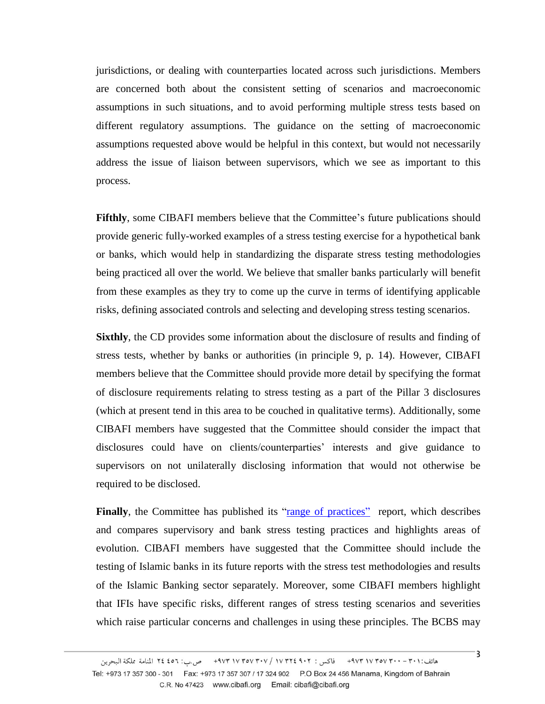jurisdictions, or dealing with counterparties located across such jurisdictions. Members are concerned both about the consistent setting of scenarios and macroeconomic assumptions in such situations, and to avoid performing multiple stress tests based on different regulatory assumptions. The guidance on the setting of macroeconomic assumptions requested above would be helpful in this context, but would not necessarily address the issue of liaison between supervisors, which we see as important to this process.

**Fifthly**, some CIBAFI members believe that the Committee's future publications should provide generic fully-worked examples of a stress testing exercise for a hypothetical bank or banks, which would help in standardizing the disparate stress testing methodologies being practiced all over the world. We believe that smaller banks particularly will benefit from these examples as they try to come up the curve in terms of identifying applicable risks, defining associated controls and selecting and developing stress testing scenarios.

**Sixthly**, the CD provides some information about the disclosure of results and finding of stress tests, whether by banks or authorities (in principle 9, p. 14). However, CIBAFI members believe that the Committee should provide more detail by specifying the format of disclosure requirements relating to stress testing as a part of the Pillar 3 disclosures (which at present tend in this area to be couched in qualitative terms). Additionally, some CIBAFI members have suggested that the Committee should consider the impact that disclosures could have on clients/counterparties' interests and give guidance to supervisors on not unilaterally disclosing information that would not otherwise be required to be disclosed.

**Finally**, the Committee has published its ["range of practices"](https://www.bis.org/bcbs/publ/d427.pdf) report, which describes and compares supervisory and bank stress testing practices and highlights areas of evolution. CIBAFI members have suggested that the Committee should include the testing of Islamic banks in its future reports with the stress test methodologies and results of the Islamic Banking sector separately. Moreover, some CIBAFI members highlight that IFIs have specific risks, different ranges of stress testing scenarios and severities which raise particular concerns and challenges in using these principles. The BCBS may